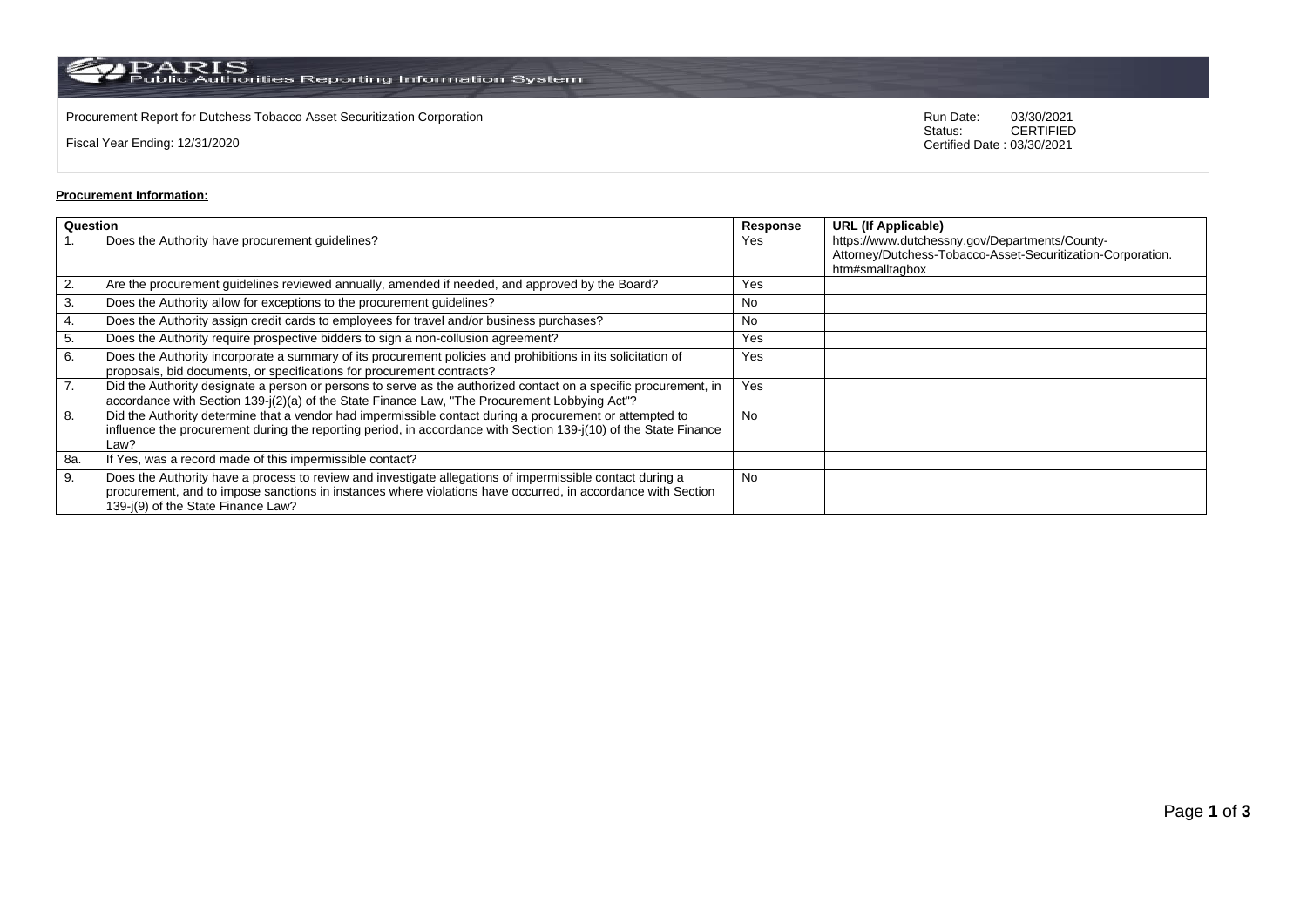$\rm PARS$  Public Authorities Reporting Information System

Procurement Report for Dutchess Tobacco Asset Securitization Corporation **Computer Control Concretes COS** Run Date: 03/30/2021<br>Status: CERTIFIED

Fiscal Year Ending: 12/31/2020

CERTIFIED Certified Date : 03/30/2021

## **Procurement Information:**

| Question |                                                                                                                                                                                                                                                                 | Response  | <b>URL (If Applicable)</b>                                                                                                       |
|----------|-----------------------------------------------------------------------------------------------------------------------------------------------------------------------------------------------------------------------------------------------------------------|-----------|----------------------------------------------------------------------------------------------------------------------------------|
|          | Does the Authority have procurement guidelines?                                                                                                                                                                                                                 | Yes       | https://www.dutchessny.gov/Departments/County-<br>Attorney/Dutchess-Tobacco-Asset-Securitization-Corporation.<br>htm#smalltagbox |
| 2.       | Are the procurement guidelines reviewed annually, amended if needed, and approved by the Board?                                                                                                                                                                 | Yes       |                                                                                                                                  |
| 3.       | Does the Authority allow for exceptions to the procurement guidelines?                                                                                                                                                                                          | No        |                                                                                                                                  |
| 4.       | Does the Authority assign credit cards to employees for travel and/or business purchases?                                                                                                                                                                       | No        |                                                                                                                                  |
| 5.       | Does the Authority require prospective bidders to sign a non-collusion agreement?                                                                                                                                                                               | Yes       |                                                                                                                                  |
| 6.       | Does the Authority incorporate a summary of its procurement policies and prohibitions in its solicitation of<br>proposals, bid documents, or specifications for procurement contracts?                                                                          | Yes       |                                                                                                                                  |
| 7.       | Did the Authority designate a person or persons to serve as the authorized contact on a specific procurement, in<br>accordance with Section 139-j(2)(a) of the State Finance Law, "The Procurement Lobbying Act"?                                               | Yes       |                                                                                                                                  |
| 8.       | Did the Authority determine that a vendor had impermissible contact during a procurement or attempted to<br>influence the procurement during the reporting period, in accordance with Section 139-j(10) of the State Finance<br>Law?                            | <b>No</b> |                                                                                                                                  |
| 8a.      | If Yes, was a record made of this impermissible contact?                                                                                                                                                                                                        |           |                                                                                                                                  |
| 9.       | Does the Authority have a process to review and investigate allegations of impermissible contact during a<br>procurement, and to impose sanctions in instances where violations have occurred, in accordance with Section<br>139-j(9) of the State Finance Law? | <b>No</b> |                                                                                                                                  |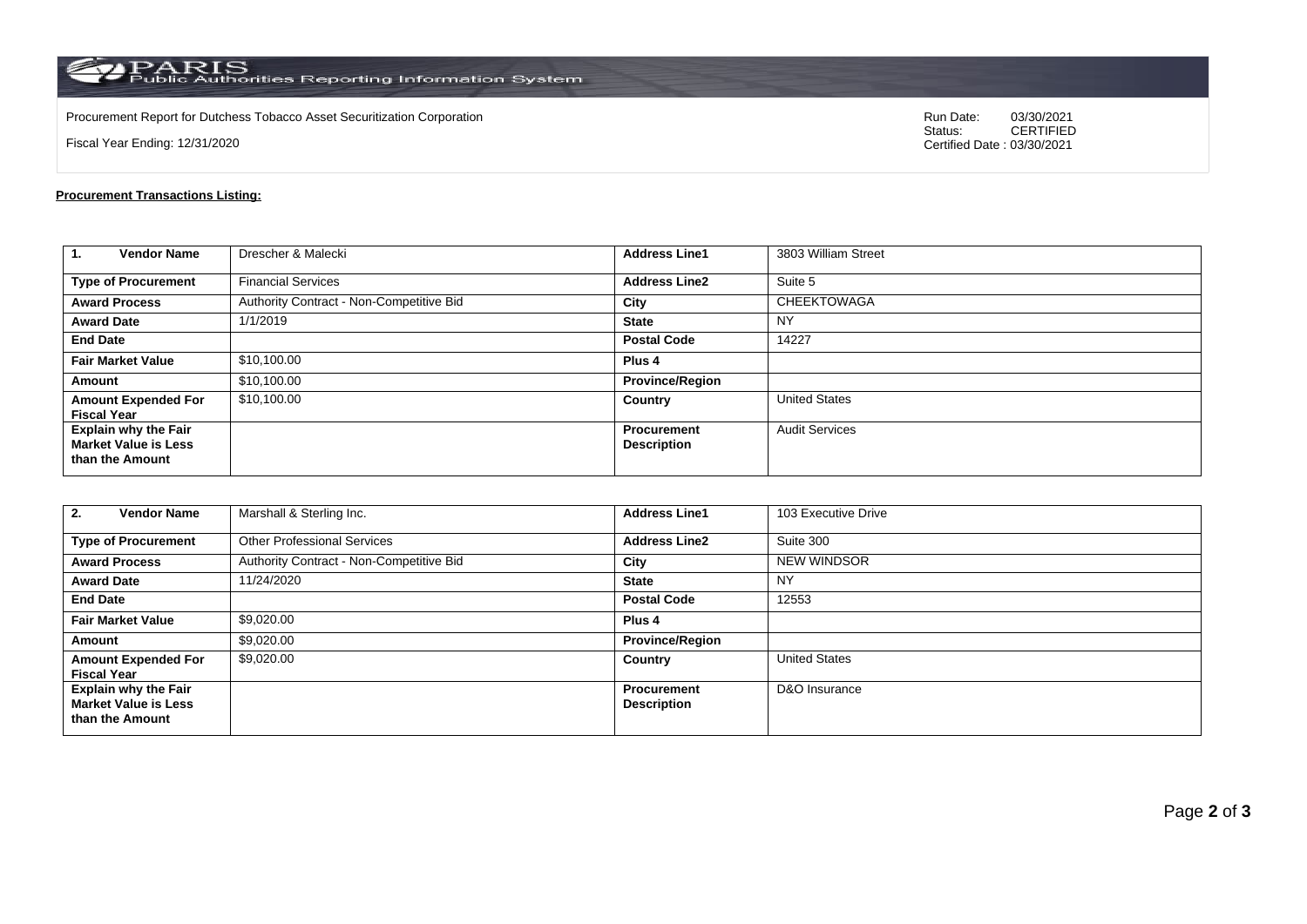$\rm PARS$  PARIS<br>Public Authorities Reporting Information System

Procurement Report for Dutchess Tobacco Asset Securitization Corporation Run Date: 03/30/2021

Fiscal Year Ending: 12/31/2020

03/30/2021<br>CERTIFIED Certified Date : 03/30/2021

## **Procurement Transactions Listing:**

| 1.<br><b>Vendor Name</b>                                                      | Drescher & Malecki                       | <b>Address Line1</b>                     | 3803 William Street   |  |
|-------------------------------------------------------------------------------|------------------------------------------|------------------------------------------|-----------------------|--|
| <b>Type of Procurement</b>                                                    | <b>Financial Services</b>                | <b>Address Line2</b>                     | Suite 5               |  |
| <b>Award Process</b>                                                          | Authority Contract - Non-Competitive Bid | City                                     | <b>CHEEKTOWAGA</b>    |  |
| <b>Award Date</b>                                                             | 1/1/2019                                 | <b>State</b>                             | NY                    |  |
| <b>End Date</b>                                                               |                                          | <b>Postal Code</b>                       | 14227                 |  |
| <b>Fair Market Value</b>                                                      | \$10,100.00                              | Plus <sub>4</sub>                        |                       |  |
| Amount                                                                        | \$10,100.00                              | <b>Province/Region</b>                   |                       |  |
| <b>Amount Expended For</b><br><b>Fiscal Year</b>                              | \$10,100.00                              | Country                                  | <b>United States</b>  |  |
| <b>Explain why the Fair</b><br><b>Market Value is Less</b><br>than the Amount |                                          | <b>Procurement</b><br><b>Description</b> | <b>Audit Services</b> |  |

| <b>Vendor Name</b><br>2.                                                      | Marshall & Sterling Inc.                 | <b>Address Line1</b>                     | 103 Executive Drive  |  |
|-------------------------------------------------------------------------------|------------------------------------------|------------------------------------------|----------------------|--|
| <b>Type of Procurement</b>                                                    | <b>Other Professional Services</b>       | <b>Address Line2</b>                     | Suite 300            |  |
| <b>Award Process</b>                                                          | Authority Contract - Non-Competitive Bid | City                                     | <b>NEW WINDSOR</b>   |  |
| <b>Award Date</b>                                                             | 11/24/2020                               | <b>State</b>                             | <b>NY</b>            |  |
| <b>End Date</b>                                                               |                                          | <b>Postal Code</b>                       | 12553                |  |
| <b>Fair Market Value</b>                                                      | \$9,020.00                               | Plus <sub>4</sub>                        |                      |  |
| Amount                                                                        | \$9,020.00                               | <b>Province/Region</b>                   |                      |  |
| <b>Amount Expended For</b><br><b>Fiscal Year</b>                              | \$9,020.00                               | Country                                  | <b>United States</b> |  |
| <b>Explain why the Fair</b><br><b>Market Value is Less</b><br>than the Amount |                                          | <b>Procurement</b><br><b>Description</b> | D&O Insurance        |  |